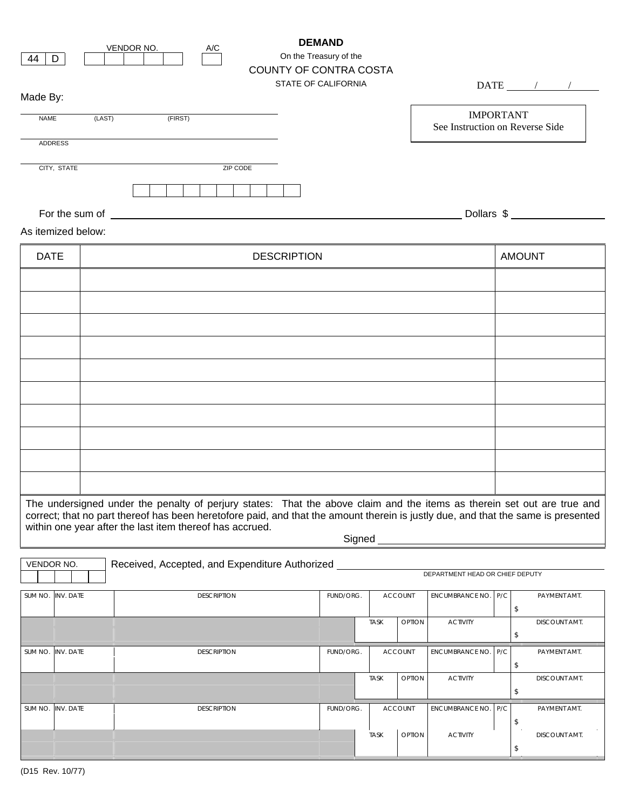| 44<br>D<br>Made By:                                                                                                     |                    | VENDOR NO.                                                                                                                                                                                                                          | $\mathsf{A}/\mathsf{C}$ | COUNTY OF CONTRA COSTA | <b>DEMAND</b><br>On the Treasury of the<br>STATE OF CALIFORNIA |             |                |                                 |                                                     | $\text{DATE}$ / /                                                                                                                 |  |
|-------------------------------------------------------------------------------------------------------------------------|--------------------|-------------------------------------------------------------------------------------------------------------------------------------------------------------------------------------------------------------------------------------|-------------------------|------------------------|----------------------------------------------------------------|-------------|----------------|---------------------------------|-----------------------------------------------------|-----------------------------------------------------------------------------------------------------------------------------------|--|
| <b>NAME</b>                                                                                                             |                    | (LAST)<br>(FIRST)                                                                                                                                                                                                                   |                         |                        |                                                                |             |                |                                 | <b>IMPORTANT</b><br>See Instruction on Reverse Side |                                                                                                                                   |  |
| <b>ADDRESS</b>                                                                                                          |                    |                                                                                                                                                                                                                                     |                         |                        |                                                                |             |                |                                 |                                                     |                                                                                                                                   |  |
| CITY, STATE                                                                                                             |                    |                                                                                                                                                                                                                                     | ZIP CODE                |                        |                                                                |             |                |                                 |                                                     |                                                                                                                                   |  |
| As itemized below:                                                                                                      |                    | For the sum of <u>the contract of the sum of</u> the sum of the sum of the sum of the sum of the sum of the sum of the sum of the sum of the sum of the sum of the sum of the sum of the sum of the sum of the sum of the sum of th |                         |                        |                                                                |             |                |                                 |                                                     | Dollars \$                                                                                                                        |  |
| <b>DATE</b>                                                                                                             | <b>DESCRIPTION</b> |                                                                                                                                                                                                                                     |                         |                        |                                                                |             |                |                                 | <b>AMOUNT</b>                                       |                                                                                                                                   |  |
|                                                                                                                         |                    |                                                                                                                                                                                                                                     |                         |                        |                                                                |             |                |                                 |                                                     |                                                                                                                                   |  |
|                                                                                                                         |                    |                                                                                                                                                                                                                                     |                         |                        |                                                                |             |                |                                 |                                                     |                                                                                                                                   |  |
|                                                                                                                         |                    |                                                                                                                                                                                                                                     |                         |                        |                                                                |             |                |                                 |                                                     |                                                                                                                                   |  |
|                                                                                                                         |                    |                                                                                                                                                                                                                                     |                         |                        |                                                                |             |                |                                 |                                                     |                                                                                                                                   |  |
|                                                                                                                         |                    |                                                                                                                                                                                                                                     |                         |                        |                                                                |             |                |                                 |                                                     |                                                                                                                                   |  |
|                                                                                                                         |                    |                                                                                                                                                                                                                                     |                         |                        |                                                                |             |                |                                 |                                                     |                                                                                                                                   |  |
|                                                                                                                         |                    |                                                                                                                                                                                                                                     |                         |                        |                                                                |             |                |                                 |                                                     |                                                                                                                                   |  |
|                                                                                                                         |                    |                                                                                                                                                                                                                                     |                         |                        |                                                                |             |                |                                 |                                                     |                                                                                                                                   |  |
| The undersigned under the penalty of perjury states: That the above claim and the items as therein set out are true and |                    |                                                                                                                                                                                                                                     |                         |                        |                                                                |             |                |                                 |                                                     |                                                                                                                                   |  |
|                                                                                                                         |                    | within one year after the last item thereof has accrued.                                                                                                                                                                            |                         |                        | Signed _                                                       |             |                |                                 |                                                     | correct; that no part thereof has been heretofore paid, and that the amount therein is justly due, and that the same is presented |  |
| VENDOR NO.                                                                                                              |                    | Received, Accepted, and Expenditure Authorized ___                                                                                                                                                                                  |                         |                        |                                                                |             |                | DEPARTMENT HEAD OR CHIEF DEPUTY |                                                     |                                                                                                                                   |  |
| SUM NO.<br>INV. DATE                                                                                                    |                    |                                                                                                                                                                                                                                     | <b>DESCRIPTION</b>      |                        | FUND/ORG.                                                      |             | ACCOUNT        | ENCUMBRANCE NO.                 | P/C                                                 | PAYMENT AMT.<br>\$                                                                                                                |  |
|                                                                                                                         |                    |                                                                                                                                                                                                                                     |                         |                        |                                                                | <b>TASK</b> | OPTION         | <b>ACTIVITY</b>                 |                                                     | DISCOUNT AMT.<br>\$                                                                                                               |  |
| INV. DATE<br>SUM NO.                                                                                                    |                    |                                                                                                                                                                                                                                     | <b>DESCRIPTION</b>      |                        | FUND/ORG.                                                      |             | <b>ACCOUNT</b> | <b>ENCUMBRANCE NO.</b>          | P/C                                                 | PAYMENT AMT.<br>$\sqrt[6]{2}$                                                                                                     |  |
|                                                                                                                         |                    |                                                                                                                                                                                                                                     |                         |                        |                                                                | <b>TASK</b> | OPTION         | <b>ACTIVITY</b>                 |                                                     | DISCOUNT AMT.<br>\$                                                                                                               |  |
| INV. DATE<br>SUM NO.                                                                                                    |                    |                                                                                                                                                                                                                                     | <b>DESCRIPTION</b>      |                        | FUND/ORG.                                                      |             | <b>ACCOUNT</b> | <b>ENCUMBRANCE NO.</b>          | P/C                                                 | PAYMENT AMT.<br>\$                                                                                                                |  |
|                                                                                                                         |                    |                                                                                                                                                                                                                                     |                         |                        |                                                                |             |                |                                 |                                                     |                                                                                                                                   |  |

TASK OPTION ACTIVITY DISCOUNT AMT.

\$